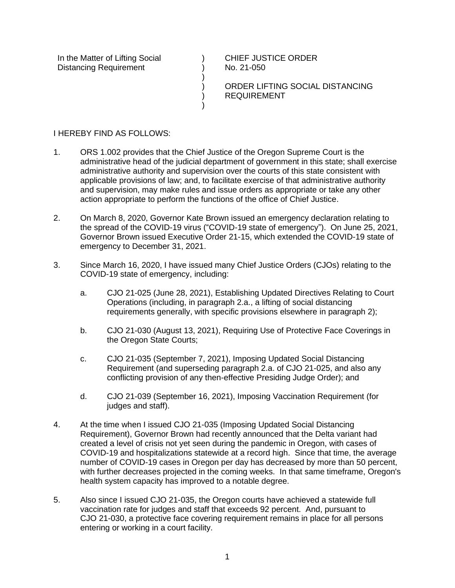In the Matter of Lifting Social Distancing Requirement

CHIEF JUSTICE ORDER No. 21-050

ORDER LIFTING SOCIAL DISTANCING REQUIREMENT

## I HEREBY FIND AS FOLLOWS:

1. ORS 1.002 provides that the Chief Justice of the Oregon Supreme Court is the administrative head of the judicial department of government in this state; shall exercise administrative authority and supervision over the courts of this state consistent with applicable provisions of law; and, to facilitate exercise of that administrative authority and supervision, may make rules and issue orders as appropriate or take any other action appropriate to perform the functions of the office of Chief Justice.

 $\lambda$ ) ) ) ) )

- 2. On March 8, 2020, Governor Kate Brown issued an emergency declaration relating to the spread of the COVID-19 virus ("COVID-19 state of emergency"). On June 25, 2021, Governor Brown issued Executive Order 21-15, which extended the COVID-19 state of emergency to December 31, 2021.
- 3. Since March 16, 2020, I have issued many Chief Justice Orders (CJOs) relating to the COVID-19 state of emergency, including:
	- a. CJO 21-025 (June 28, 2021), Establishing Updated Directives Relating to Court Operations (including, in paragraph 2.a., a lifting of social distancing requirements generally, with specific provisions elsewhere in paragraph 2);
	- b. CJO 21-030 (August 13, 2021), Requiring Use of Protective Face Coverings in the Oregon State Courts;
	- c. CJO 21-035 (September 7, 2021), Imposing Updated Social Distancing Requirement (and superseding paragraph 2.a. of CJO 21-025, and also any conflicting provision of any then-effective Presiding Judge Order); and
	- d. CJO 21-039 (September 16, 2021), Imposing Vaccination Requirement (for judges and staff).
- 4. At the time when I issued CJO 21-035 (Imposing Updated Social Distancing Requirement), Governor Brown had recently announced that the Delta variant had created a level of crisis not yet seen during the pandemic in Oregon, with cases of COVID-19 and hospitalizations statewide at a record high. Since that time, the average number of COVID-19 cases in Oregon per day has decreased by more than 50 percent, with further decreases projected in the coming weeks. In that same timeframe, Oregon's health system capacity has improved to a notable degree.
- 5. Also since I issued CJO 21-035, the Oregon courts have achieved a statewide full vaccination rate for judges and staff that exceeds 92 percent. And, pursuant to CJO 21-030, a protective face covering requirement remains in place for all persons entering or working in a court facility.